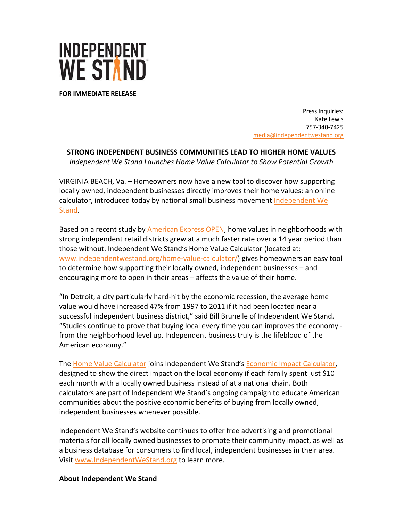

**FOR IMMEDIATE RELEASE**

Press Inquiries: Kate Lewis 757‐340‐7425 media@independentwestand.org

**STRONG INDEPENDENT BUSINESS COMMUNITIES LEAD TO HIGHER HOME VALUES**

*Independent We Stand Launches Home Value Calculator to Show Potential Growth*

VIRGINIA BEACH, Va. – Homeowners now have a new tool to discover how supporting locally owned, independent businesses directly improves their home values: an online calculator, introduced today by national small business movement Independent We Stand.

Based on a recent study by **American Express OPEN**, home values in neighborhoods with strong independent retail districts grew at a much faster rate over a 14 year period than those without. Independent We Stand's Home Value Calculator (located at: www.independentwestand.org/home-value-calculator/) gives homeowners an easy tool to determine how supporting their locally owned, independent businesses – and encouraging more to open in their areas – affects the value of their home.

"In Detroit, a city particularly hard‐hit by the economic recession, the average home value would have increased 47% from 1997 to 2011 if it had been located near a successful independent business district," said Bill Brunelle of Independent We Stand. "Studies continue to prove that buying local every time you can improves the economy ‐ from the neighborhood level up. Independent business truly is the lifeblood of the American economy."

The Home Value Calculator joins Independent We Stand's Economic Impact Calculator, designed to show the direct impact on the local economy if each family spent just \$10 each month with a locally owned business instead of at a national chain. Both calculators are part of Independent We Stand's ongoing campaign to educate American communities about the positive economic benefits of buying from locally owned, independent businesses whenever possible.

Independent We Stand's website continues to offer free advertising and promotional materials for all locally owned businesses to promote their community impact, as well as a business database for consumers to find local, independent businesses in their area. Visit www.IndependentWeStand.org to learn more.

## **About Independent We Stand**